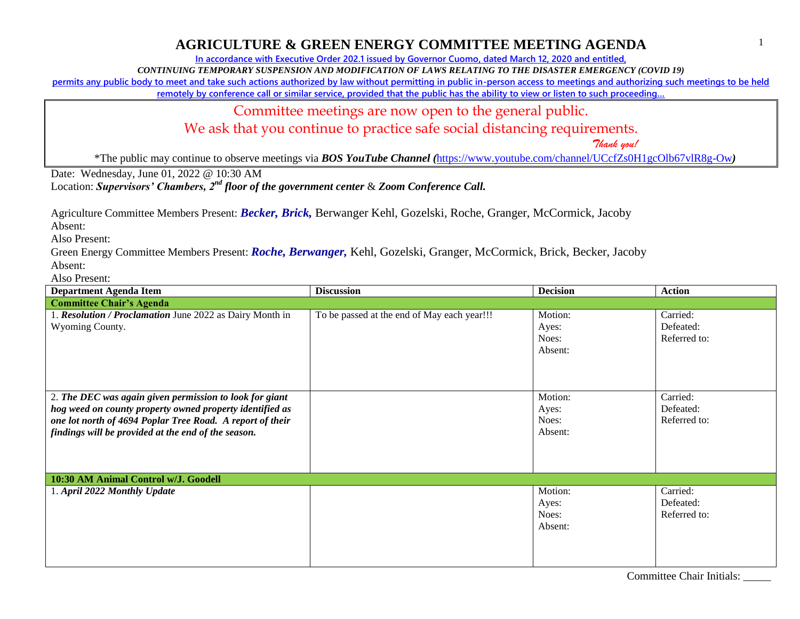### **AGRICULTURE & GREEN ENERGY COMMITTEE MEETING AGENDA**

**In accordance with Executive Order 202.1 issued by Governor Cuomo, dated March 12, 2020 and entitled,**

*CONTINUING TEMPORARY SUSPENSION AND MODIFICATION OF LAWS RELATING TO THE DISASTER EMERGENCY (COVID 19)*

**permits any public body to meet and take such actions authorized by law without permitting in public in-person access to meetings and authorizing such meetings to be held** 

**remotely by conference call or similar service, provided that the public has the ability to view or listen to such proceeding…**

Committee meetings are now open to the general public.

We ask that you continue to practice safe social distancing requirements.

 *Thank you!*

1

\*The public may continue to observe meetings via *BOS YouTube Channel (*<https://www.youtube.com/channel/UCcfZs0H1gcOlb67vlR8g-Ow>*)*

Date: Wednesday, June 01, 2022 @ 10:30 AM

Location: *Supervisors' Chambers, 2nd floor of the government center* & *Zoom Conference Call.*

Agriculture Committee Members Present: *Becker, Brick,* Berwanger Kehl, Gozelski, Roche, Granger, McCormick, Jacoby

Absent:

Also Present:

Green Energy Committee Members Present: *Roche, Berwanger,* Kehl, Gozelski, Granger, McCormick, Brick, Becker, Jacoby Absent:

Also Present:

| <b>Department Agenda Item</b>                                                                                                                                                                                                           | <b>Discussion</b>                           | <b>Decision</b>                      | <b>Action</b>                         |
|-----------------------------------------------------------------------------------------------------------------------------------------------------------------------------------------------------------------------------------------|---------------------------------------------|--------------------------------------|---------------------------------------|
| <b>Committee Chair's Agenda</b>                                                                                                                                                                                                         |                                             |                                      |                                       |
| 1. Resolution / Proclamation June 2022 as Dairy Month in<br>Wyoming County.                                                                                                                                                             | To be passed at the end of May each year!!! | Motion:<br>Ayes:<br>Noes:<br>Absent: | Carried:<br>Defeated:<br>Referred to: |
| 2. The DEC was again given permission to look for giant<br>hog weed on county property owned property identified as<br>one lot north of 4694 Poplar Tree Road. A report of their<br>findings will be provided at the end of the season. |                                             | Motion:<br>Ayes:<br>Noes:<br>Absent: | Carried:<br>Defeated:<br>Referred to: |
| 10:30 AM Animal Control w/J. Goodell                                                                                                                                                                                                    |                                             |                                      |                                       |
| 1. April 2022 Monthly Update                                                                                                                                                                                                            |                                             | Motion:<br>Ayes:<br>Noes:<br>Absent: | Carried:<br>Defeated:<br>Referred to: |

Committee Chair Initials: \_\_\_\_\_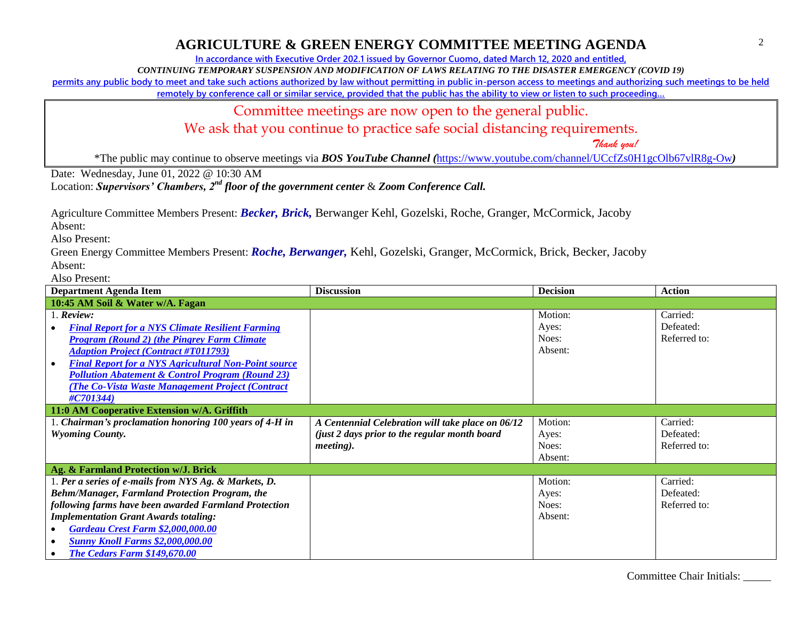# **AGRICULTURE & GREEN ENERGY COMMITTEE MEETING AGENDA**

**In accordance with Executive Order 202.1 issued by Governor Cuomo, dated March 12, 2020 and entitled,**

*CONTINUING TEMPORARY SUSPENSION AND MODIFICATION OF LAWS RELATING TO THE DISASTER EMERGENCY (COVID 19)*

**permits any public body to meet and take such actions authorized by law without permitting in public in-person access to meetings and authorizing such meetings to be held** 

**remotely by conference call or similar service, provided that the public has the ability to view or listen to such proceeding…**

Committee meetings are now open to the general public.

We ask that you continue to practice safe social distancing requirements.

 *Thank you!*

\*The public may continue to observe meetings via *BOS YouTube Channel (*<https://www.youtube.com/channel/UCcfZs0H1gcOlb67vlR8g-Ow>*)*

Date: Wednesday, June 01, 2022 @ 10:30 AM

Location: *Supervisors' Chambers, 2nd floor of the government center* & *Zoom Conference Call.*

Agriculture Committee Members Present: *Becker, Brick,* Berwanger Kehl, Gozelski, Roche, Granger, McCormick, Jacoby

Absent:

Also Present:

Green Energy Committee Members Present: *Roche, Berwanger,* Kehl, Gozelski, Granger, McCormick, Brick, Becker, Jacoby Absent:

Also Present:

| <b>Department Agenda Item</b>                               | <b>Discussion</b>                                 | <b>Decision</b> | <b>Action</b> |
|-------------------------------------------------------------|---------------------------------------------------|-----------------|---------------|
| 10:45 AM Soil & Water w/A. Fagan                            |                                                   |                 |               |
| $1.$ Review:                                                |                                                   | Motion:         | Carried:      |
| <b>Final Report for a NYS Climate Resilient Farming</b>     |                                                   | Ayes:           | Defeated:     |
| <b>Program (Round 2) (the Pingrey Farm Climate)</b>         |                                                   | Noes:           | Referred to:  |
| <b>Adaption Project (Contract #T011793)</b>                 |                                                   | Absent:         |               |
| <b>Final Report for a NYS Agricultural Non-Point source</b> |                                                   |                 |               |
| <b>Pollution Abatement &amp; Control Program (Round 23)</b> |                                                   |                 |               |
| <b>The Co-Vista Waste Management Project (Contract)</b>     |                                                   |                 |               |
| #C701344)                                                   |                                                   |                 |               |
| 11:0 AM Cooperative Extension w/A. Griffith                 |                                                   |                 |               |
| Chairman's proclamation honoring 100 years of 4-H in        | A Centennial Celebration will take place on 06/12 | Motion:         | Carried:      |
| <b>Wyoming County.</b>                                      | (just 2 days prior to the regular month board)    | Ayes:           | Defeated:     |
|                                                             | <i>meeting</i> ).                                 | Noes:           | Referred to:  |
|                                                             |                                                   | Absent:         |               |
| Ag. & Farmland Protection w/J. Brick                        |                                                   |                 |               |
| 1. Per a series of e-mails from NYS Ag. & Markets, D.       |                                                   | Motion:         | Carried:      |
| Behm/Manager, Farmland Protection Program, the              |                                                   | Ayes:           | Defeated:     |
| following farms have been awarded Farmland Protection       |                                                   | Noes:           | Referred to:  |
| <b>Implementation Grant Awards totaling:</b>                |                                                   | Absent:         |               |
| <b>Gardeau Crest Farm \$2,000,000.00</b>                    |                                                   |                 |               |
| <b>Sunny Knoll Farms \$2,000,000.00</b>                     |                                                   |                 |               |
| <b>The Cedars Farm \$149,670.00</b>                         |                                                   |                 |               |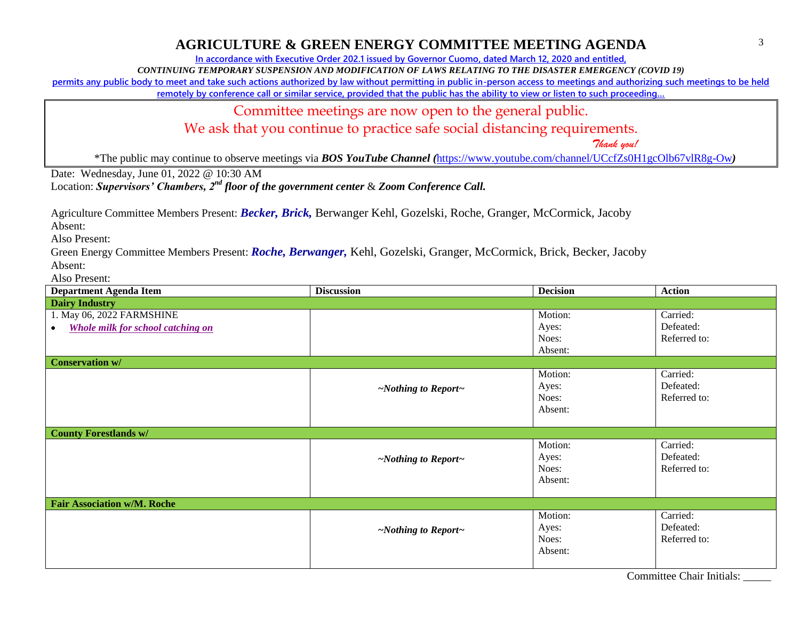## **AGRICULTURE & GREEN ENERGY COMMITTEE MEETING AGENDA**

**In accordance with Executive Order 202.1 issued by Governor Cuomo, dated March 12, 2020 and entitled,**

*CONTINUING TEMPORARY SUSPENSION AND MODIFICATION OF LAWS RELATING TO THE DISASTER EMERGENCY (COVID 19)*

**permits any public body to meet and take such actions authorized by law without permitting in public in-person access to meetings and authorizing such meetings to be held** 

**remotely by conference call or similar service, provided that the public has the ability to view or listen to such proceeding…**

Committee meetings are now open to the general public.

We ask that you continue to practice safe social distancing requirements.

 *Thank you!*

\*The public may continue to observe meetings via *BOS YouTube Channel (*<https://www.youtube.com/channel/UCcfZs0H1gcOlb67vlR8g-Ow>*)*

Date: Wednesday, June 01, 2022 @ 10:30 AM

Location: *Supervisors' Chambers, 2nd floor of the government center* & *Zoom Conference Call.*

Agriculture Committee Members Present: *Becker, Brick,* Berwanger Kehl, Gozelski, Roche, Granger, McCormick, Jacoby

Absent:

Also Present:

Green Energy Committee Members Present: *Roche, Berwanger,* Kehl, Gozelski, Granger, McCormick, Brick, Becker, Jacoby Absent:

Also Present:

| <b>Department Agenda Item</b>                         | <b>Discussion</b>               | <b>Decision</b> | <b>Action</b> |
|-------------------------------------------------------|---------------------------------|-----------------|---------------|
| <b>Dairy Industry</b>                                 |                                 |                 |               |
| 1. May 06, 2022 FARMSHINE                             |                                 | Motion:         | Carried:      |
| <b>Whole milk for school catching on</b><br>$\bullet$ |                                 | Ayes:           | Defeated:     |
|                                                       |                                 | Noes:           | Referred to:  |
|                                                       |                                 | Absent:         |               |
| <b>Conservation w/</b>                                |                                 |                 |               |
|                                                       |                                 | Motion:         | Carried:      |
|                                                       | $\sim$ Nothing to Report $\sim$ | Ayes:           | Defeated:     |
|                                                       |                                 | Noes:           | Referred to:  |
|                                                       |                                 | Absent:         |               |
|                                                       |                                 |                 |               |
| <b>County Forestlands w/</b>                          |                                 |                 |               |
|                                                       |                                 | Motion:         | Carried:      |
|                                                       | $\sim$ Nothing to Report $\sim$ | Ayes:           | Defeated:     |
|                                                       |                                 | Noes:           | Referred to:  |
|                                                       |                                 | Absent:         |               |
|                                                       |                                 |                 |               |
| <b>Fair Association w/M. Roche</b>                    |                                 |                 |               |
|                                                       |                                 | Motion:         | Carried:      |
|                                                       | $\sim$ Nothing to Report $\sim$ | Ayes:           | Defeated:     |
|                                                       |                                 | Noes:           | Referred to:  |
|                                                       |                                 | Absent:         |               |
|                                                       |                                 | $\sim$          | $\sim$ $\sim$ |